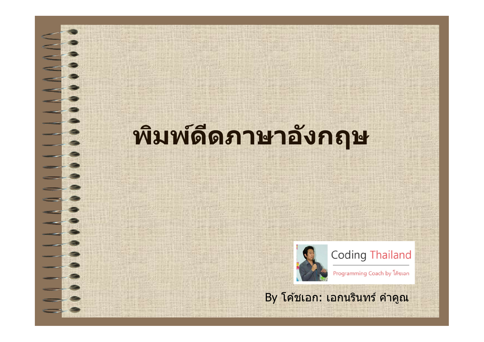### **พิมพ์ดีดภาษาอังกฤษ**



**Coding Thailand** 

Programming Coach by โค้ชเอก

By โค ้ชเอก: เอกนรินทร์ คําคูณ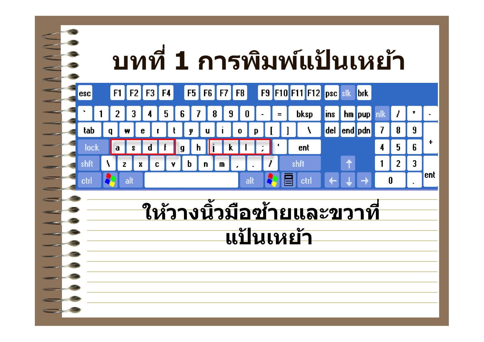#### **บทที 1 การพิมพ์แป้ นเหย้า** F9 F10 F11 F12 psc slk F<sub>8</sub>  $F1$  $F<sub>2</sub>$ F3 F4 **F5** F<sub>6</sub> l F7 **I**brk esc. **bksp** 2 5 ĥ 9 hm loup  $\mathbf{r}$ lins i del end pdn tah  $\mathcal{I}$  $\mathbf{R}$  $\overline{a}$  $\ddagger$  $5<sub>5</sub>$ 6 **loc** ent 4  $\overline{a}$  $\overline{2}$  $\overline{3}$ Z x c lent etr **ให้วางนิวมือซายและขวาที ้ แป้ นเหย้า**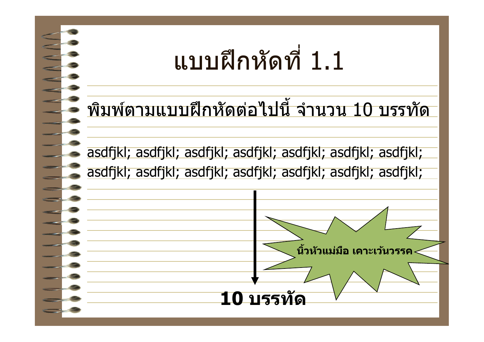

#### พิมพ์ตามแบบฝึกหัดต่อไปนี จํานวน 10 บรรทัด

asdfjkl; asdfjkl; asdfjkl; asdfjkl; asdfjkl; asdfjkl; asdfjkl; asdfjkl; asdfjkl; asdfjkl; asdfjkl; asdfjkl; asdfjkl; asdfjkl;

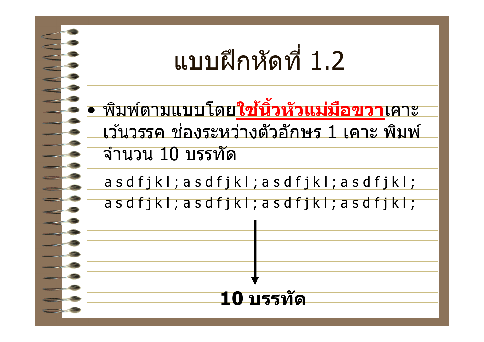

• พิมพ์ตามแบบโดย**ใชนิวหัวแม่มือขวา ้** เคาะ ้เว้นวรรค ช่องระหว่างตัวอักษร 1 เคาะ พิมพ์ จํานวน 10 บรรทัด

a s d f j k l ; a s d f j k l ; a s d f j k l ; a s d f j k l ; a s d f j k l ; a s d f j k l ; a s d f j k l ; a s d f j k l ;

**10 บรรทัด**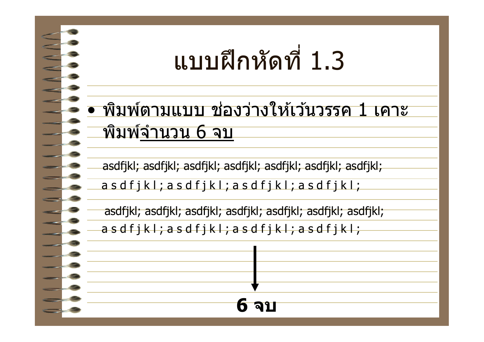### แบบฝึกหัดที 1.3

#### • พิมพ์ตามแบบ ช่องว่างให้เว้นวรรค 1 เคาะ พิมพ์จํานวน 6 จบ

asdfjkl; asdfjkl; asdfjkl; asdfjkl; asdfjkl; asdfjkl; asdfjkl;

a s d f j k l ; a s d f j k l ; a s d f j k l ; a s d f j k l ;

asdfjkl; asdfjkl; asdfjkl; asdfjkl; asdfjkl; asdfjkl; asdfjkl;

**ิฉ**า

a s d f j k l ; a s d f j k l ; a s d f j k l ; a s d f j k l ;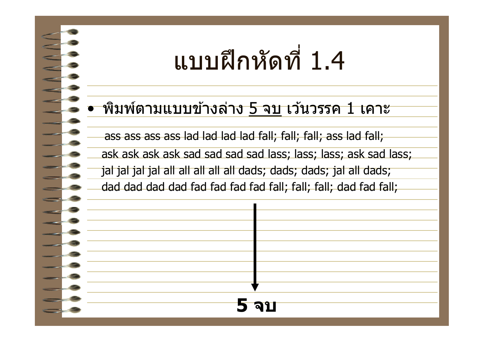### แบบฝึกหัดที 1.4

#### • พิมพ์ตามแบบข ้างล่าง 5 จบ เว ้นวรรค 1 เคาะ

ass ass ass ass lad lad lad lad fall; fall; fall; ass lad fall;

ask ask ask ask sad sad sad sad lass; lass; lass; ask sad lass;

jal jal jal jal all all all all all dads; dads; dads; jal all dads;

dad dad dad dad fad fad fad fad fall; fall; fall; dad fad fall;

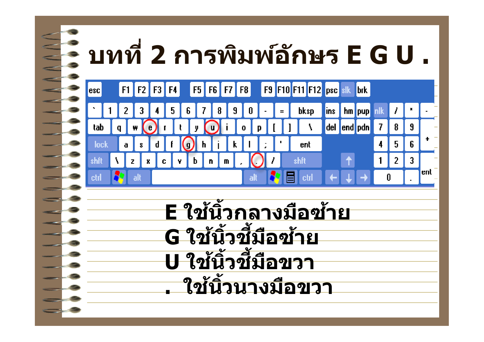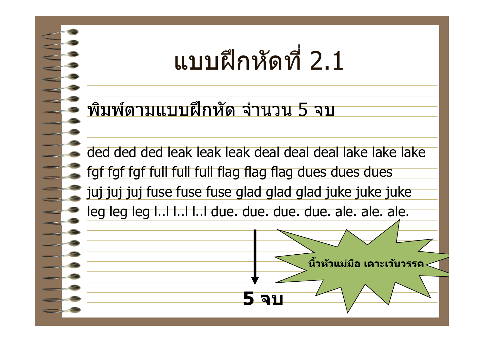### แบบฝึกหัดที 2.1

พิมพ์ตามแบบฝึกหัด จํานวน 5 จบ

ded ded ded leak leak leak deal deal deal lake lake lake

fgf fgf fgf full full full flag flag flag dues dues dues

juj juj juj fuse fuse fuse glad glad glad juke juke juke

leg leg leg l..l l..l l..l due. due. due. due. ale. ale. ale.

**5 จบ**

**นิวหัวแม่มือ เคาะเว้นวรรค**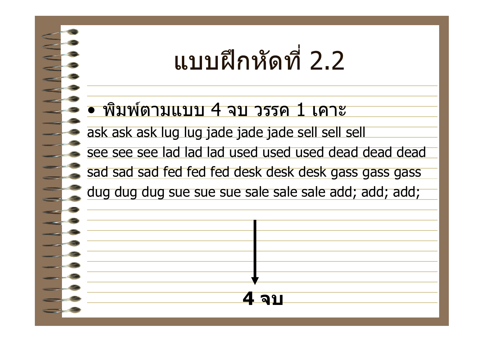### แบบฝึกหัดที 2.2

#### • พิมพ์ตามแบบ 4 จบ วรรค 1 เคาะ

ask ask ask lug lug jade jade jade sell sell sell

see see see lad lad lad used used used dead dead dead

sad sad sad fed fed fed desk desk desk gass gass gass

dug dug dug sue sue sue sale sale sale add; add; add;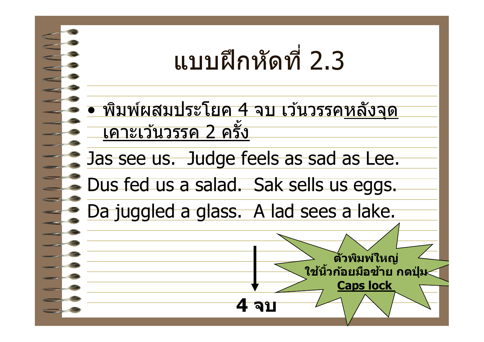

• พิมพ์ผสมประโยค 4 จบ เว้นวรรคหลังจุด ้เคาะเว้นวรรค 2 ครั้ง

Jas see us. Judge feels as sad as Lee.

Dus fed us a salad. Sak sells us eggs.

Da juggled a glass. A lad sees a lake.

**อา** 

**ตัวพิมพ์ใหญ่**

**ใชนิวก้อยมือซ ้ าย กดปุ่ ม ้**

**Caps lock**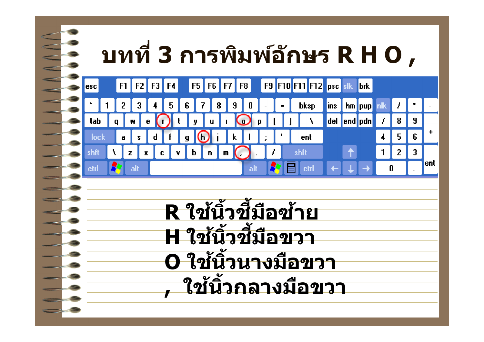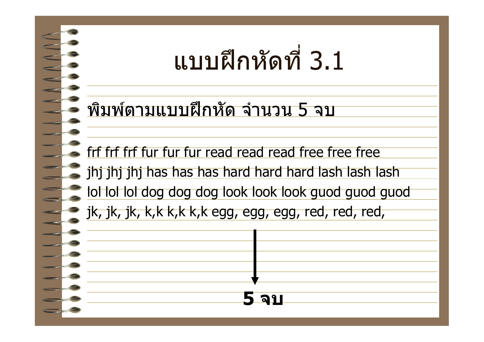### แบบฝึกหัดที 3.1

พิมพ์ตามแบบฝึกหัด จํานวน 5 จบ

frf frf frf fur fur fur read read read free free free

jhj jhj jhj has has has hard hard hard lash lash lash

lol lol lol dog dog dog look look look guod guod guod

**5 จบ**

jk, jk, jk, k,k k,k k,k egg, egg, egg, red, red, red,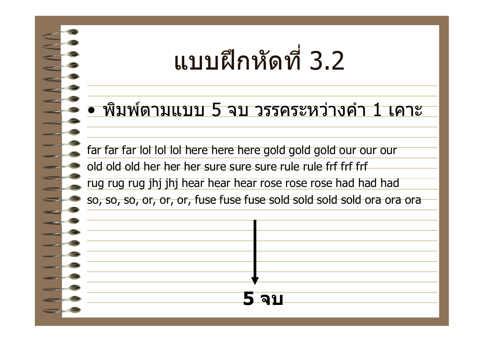### แบบฝึกหัดที 3.2

#### • พิมพ์ตามแบบ 5 จบ วรรคระหว่างคํา 1 เคาะ

far far far lol lol lol here here here gold gold gold our our our old old old her her her sure sure sure rule rule frf frf frf rug rug rug jhj jhj hear hear hear rose rose rose had had had so, so, so, or, or, or, fuse fuse fuse sold sold sold sold ora ora ora

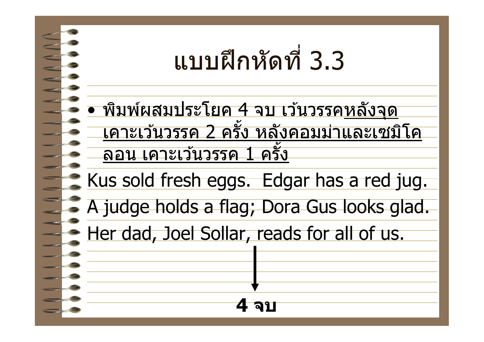### แบบฝึกหัดที 3.3

• พิมพ์ผสมประโยค 4 จบ เว้นวรรคหลังจุด เคาะเว ้นวรรค 2 ครัง หลังคอมม่าและเซมิโค ้ลอน เคาะเว้นวรรค 1 ครั้ง

Kus sold fresh eggs. Edgar has a red jug.

A judge holds a flag; Dora Gus looks glad.

**4 จบ**

Her dad, Joel Sollar, reads for all of us.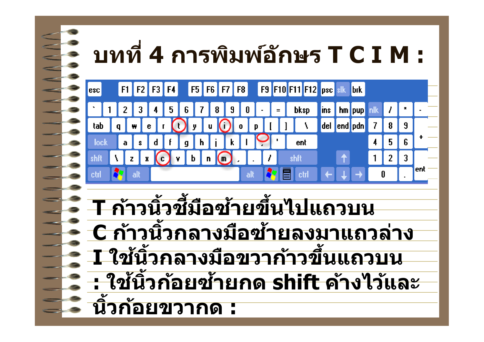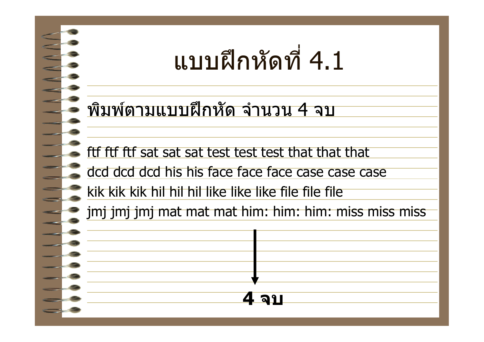### แบบฝึกหัดที 4.1

พิมพ์ตามแบบฝึกหัด จํานวน 4 จบ

ftf ftf ftf sat sat sat test test test that that that

dcd dcd dcd his his face face face case case case

kik kik kik hil hil hil like like like file file file

jmj jmj jmj mat mat mat him: him: him: miss miss miss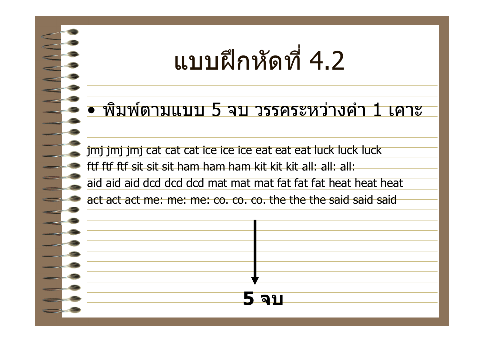### แบบฝึกหัดที 4.2

#### • พิมพ์ตามแบบ 5 จบ วรรคระหว่างคํา 1 เคาะ

jmj jmj jmj cat cat cat ice ice ice eat eat eat luck luck luck ftf ftf ftf sit sit sit ham ham ham kit kit kit all: all: all: aid aid aid dcd dcd dcd mat mat mat fat fat fat heat heat heat

act act act me: me: me: co. co. co. the the the said said said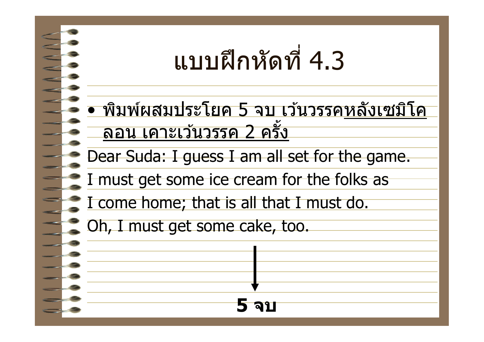### แบบฝึกหัดที 4.3

• พิมพ์ผสมประโยค 5 จบ เว ้นวรรคหลังเซมิโค ้ลอน เคาะเว้นวรรค 2 ครั้ง

**5 จบ**

Dear Suda: I guess I am all set for the game.

I must get some ice cream for the folks as

I come home; that is all that I must do.

Oh, I must get some cake, too.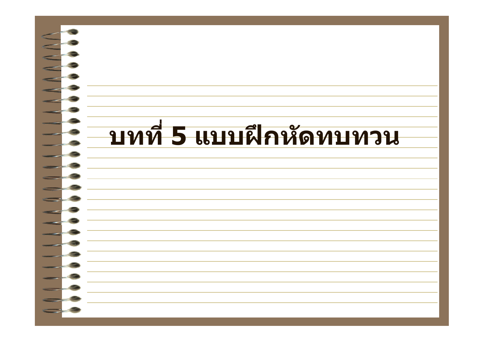# **บทที 5 แบบฝึกหัดทบทวน**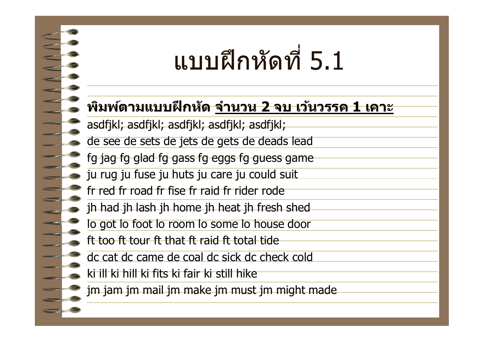### แบบฝึกหัดที 5.1

#### **พิมพ์ตามแบบฝึกหัด จํานวน 2 จบ เว้นวรรค 1 เคาะ**

- asdfjkl; asdfjkl; asdfjkl; asdfjkl; asdfjkl;
- de see de sets de jets de gets de deads lead
- fg jag fg glad fg gass fg eggs fg guess game
- ju rug ju fuse ju huts ju care ju could suit
- fr red fr road fr fise fr raid fr rider rode
- jh had jh lash jh home jh heat jh fresh shed
- lo got lo foot lo room lo some lo house door
- ft too ft tour ft that ft raid ft total tide
- dc cat dc came de coal dc sick dc check cold
- ki ill ki hill ki fits ki fair ki still hike
- jm jam jm mail jm make jm must jm might made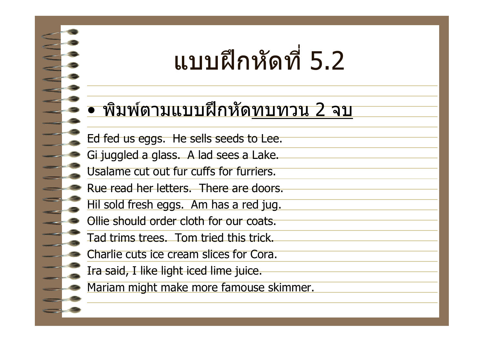### แบบฝึกหัดที 5.2

#### • พิมพ์ตามแบบฝึกหัดทบทวน 2 จบ

- Ed fed us eggs. He sells seeds to Lee.
- Gi juggled a glass. A lad sees a Lake.
- Usalame cut out fur cuffs for furriers.
- Rue read her letters. There are doors.
- Hil sold fresh eggs. Am has a red jug.
- Ollie should order cloth for our coats.
- Tad trims trees. Tom tried this trick.
- Charlie cuts ice cream slices for Cora.
- Ira said, I like light iced lime juice.
- Mariam might make more famouse skimmer.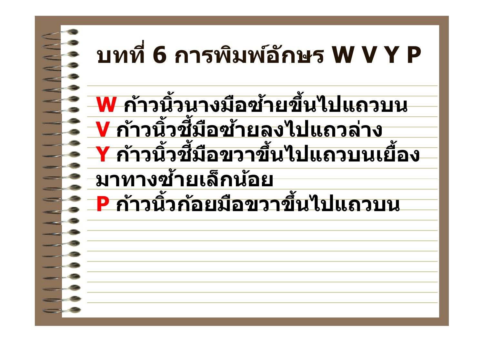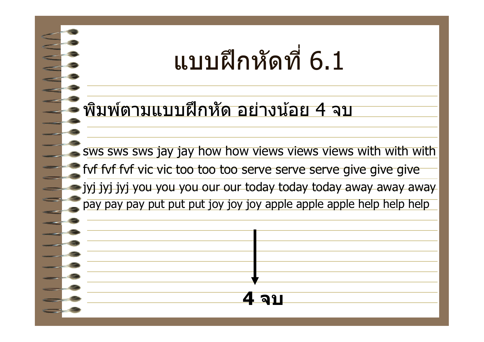### แบบฝึกหัดที 6.1

#### พิมพ์ตามแบบฝึกหัด อย่างน้อย 4 จบ

sws sws sws jay jay how how views views views with with with fyf fyf fyf vic vic too too too serve serve serve give give give jyj jyj jyj you you you our our today today today away away away pay pay pay put put put joy joy joy apple apple apple help help help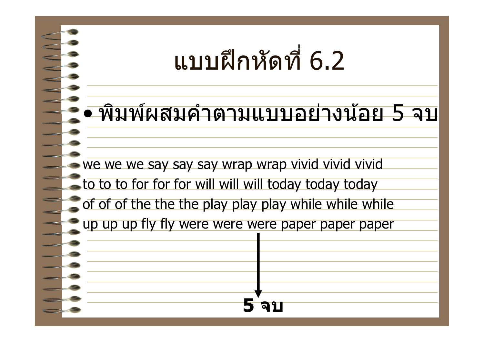### แบบฝึกหัดที 6.2

### • พิมพ์ผสมคําตามแบบอย่างน้อย 5 จบ

we we we say say say wrap wrap vivid vivid vivid to to to for for for will will will today today today of of of the the the play play play while while while up up up fly fly were were were paper paper paper **5 จบ**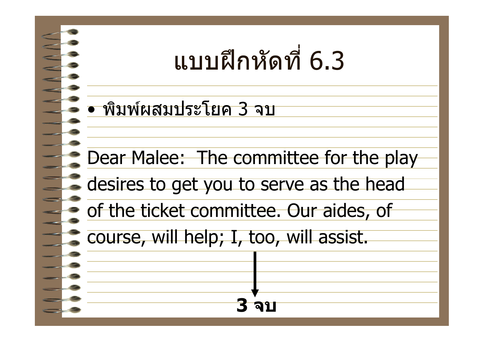### แบบฝึกหัดที 6.3

• พิมพ์ผสมประโยค 3 จบ

Dear Malee: The committee for the play

**3 จบ**

desires to get you to serve as the head

of the ticket committee. Our aides, of

course, will help; I, too, will assist.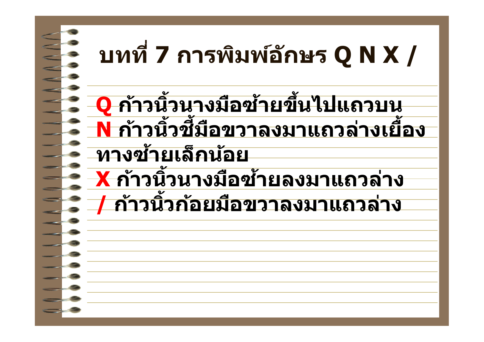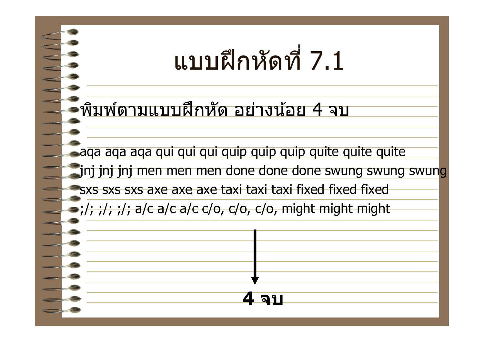### แบบฝึกหัดที 7.1

พิมพ์ตามแบบฝึกหัด อย่างน้อย 4 จบ

aqa aqa aqa qui qui qui quip quip quip quite quite quite jnj jnj jnj men men men done done done swung swung swung sxs sxs sxs axe axe axe taxi taxi taxi fixed fixed fixed  $\frac{1}{2}$ ;  $\frac{1}{2}$ ;  $\frac{1}{2}$ ; a/c a/c a/c c/o, c/o, c/o, might might might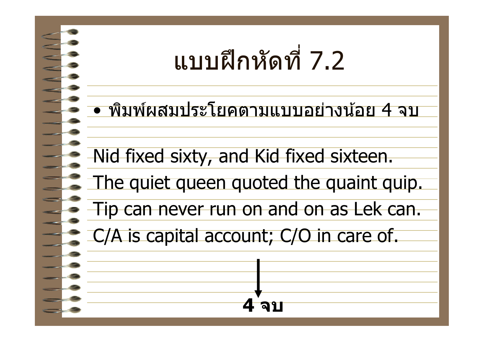## แบบฝึกหัดที 7.2

• พิมพ์ผสมประโยคตามแบบอย่างน้อย 4 จบ

Nid fixed sixty, and Kid fixed sixteen.

The quiet queen quoted the quaint quip.

Tip can never run on and on as Lek can.

**4 จบ**

C/A is capital account; C/O in care of.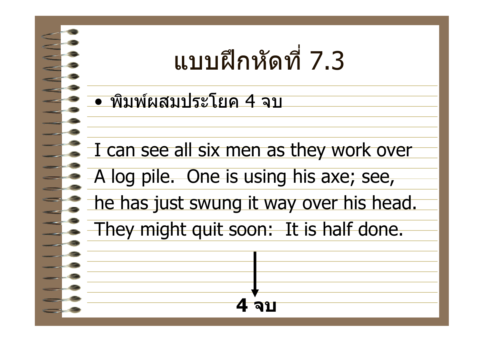

• พิมพ์ผสมประโยค 4 จบ

I can see all six men as they work over

A log pile. One is using his axe; see,

he has just swung it way over his head.

They might quit soon: It is half done.